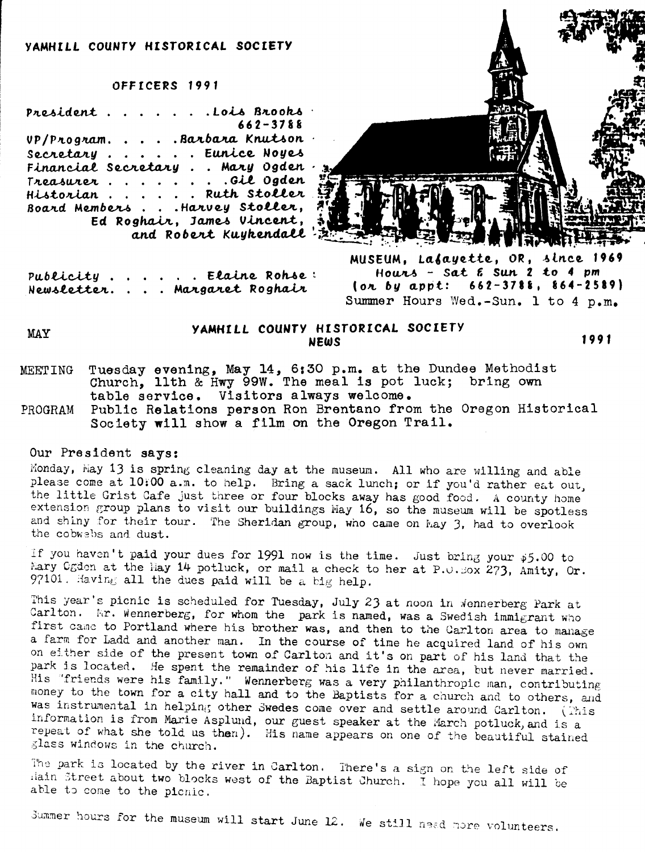### VAMHILL COUNTY HISTORICAL SOCIETY

### OFFICERS 1991

President . . . . . . Lois Brooks  $662 - 3788$ UP/Program....Rarbara Knutson. Secretary . . . . . Eunice Noyes Financial Secretary . . Mary Ogden. Treasurer.......Gil Ogden Historian . . . . . . Ruth Stoller. Board Members . . . Harvey Stoller, Ed Roghair, James Vincent,<br>and Robert Kuykendall!



Publicity . . . . . Elaine Rohse: Newsletter. . . . Margaret Roghair

MUSEUM, Lafayette, OR, since 1969 Hours - sat  $\epsilon$  sun  $2$  to 4 pm (or by appt:  $662-3788$ ,  $864-2589$ ) Summer Hours Wed.-Sun. 1 to 4 p.m.

MAY

# YAMHILL COUNTY HISTORICAL SOCIETY **NEWS**

1991

- Tuesday evening, May 14, 6:30 p.m. at the Dundee Methodist Church, llth & Hwy 99W. The meal is pot luck; bring own **MEETING** table service. Visitors always welcome.
- PROGRAM Public Relations person Ron Brentano from the Oregon Historical Society will show a film on the Oregon Trail.

## Our President says:

Monday, May 13 is spring cleaning day at the museum. All who are willing and able please come at 10:00 a.m. to help. Bring a sack lunch; or if you'd rather eat out, the little Grist Cafe just three or four blocks away has good food. A county home extension group plans to visit our buildings May 16, so the museum will be spotless and shiny for their tour. The Sheridan group, who came on May 3, had to overlook the cobwebs and dust.

If you haven't paid your dues for 1991 now is the time. Just bring your \$5.00 to Mary Ogden at the May 14 potluck, or mail a check to her at P.O. Sox 273, Amity, Or. 97101. Having all the dues paid will be a big help.

This year's picnic is scheduled for Tuesday, July 23 at noon in Wennerberg Park at Carlton. Mr. Wennerberg, for whom the park is named, was a Swedish immigrant who first came to Portland where his brother was, and then to the Carlton area to manage a farm for Ladd and another man. In the course of time he acquired land of his own on either side of the present town of Carlton and it's on part of his land that the park is located. He spent the remainder of his life in the area, but never married. His "friends were his family." Wennerberg was a very philanthropic man, contributing money to the town for a city hall and to the Baptists for a church and to others, and was instrumental in helping other Swedes come over and settle around Carlton. (This information is from Marie Asplund, our guest speaker at the March potluck, and is a repeat of what she told us then). His name appears on one of the beautiful stained glass windows in the church.

The park is located by the river in Carlton. There's a sign on the left side of lain Street about two blocks west of the Baptist Church. I hope you all will be able to come to the picnic.

Summer hours for the museum will start June 12. We still need more volunteers.